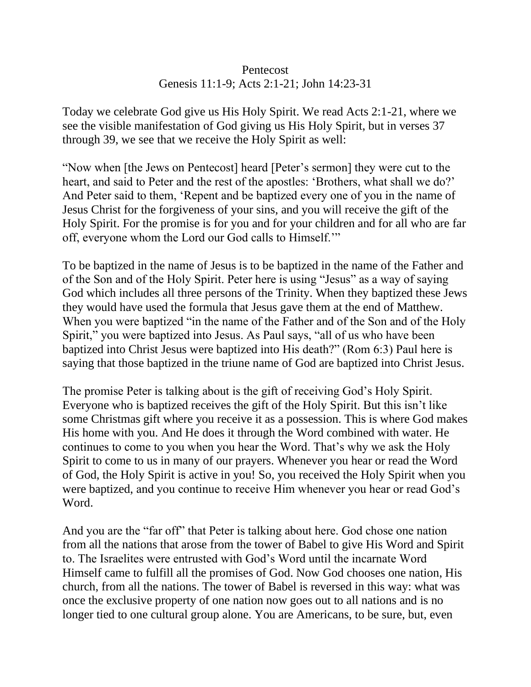## Pentecost Genesis 11:1-9; Acts 2:1-21; John 14:23-31

Today we celebrate God give us His Holy Spirit. We read Acts 2:1-21, where we see the visible manifestation of God giving us His Holy Spirit, but in verses 37 through 39, we see that we receive the Holy Spirit as well:

"Now when [the Jews on Pentecost] heard [Peter's sermon] they were cut to the heart, and said to Peter and the rest of the apostles: 'Brothers, what shall we do?' And Peter said to them, 'Repent and be baptized every one of you in the name of Jesus Christ for the forgiveness of your sins, and you will receive the gift of the Holy Spirit. For the promise is for you and for your children and for all who are far off, everyone whom the Lord our God calls to Himself.'"

To be baptized in the name of Jesus is to be baptized in the name of the Father and of the Son and of the Holy Spirit. Peter here is using "Jesus" as a way of saying God which includes all three persons of the Trinity. When they baptized these Jews they would have used the formula that Jesus gave them at the end of Matthew. When you were baptized "in the name of the Father and of the Son and of the Holy Spirit," you were baptized into Jesus. As Paul says, "all of us who have been baptized into Christ Jesus were baptized into His death?" (Rom 6:3) Paul here is saying that those baptized in the triune name of God are baptized into Christ Jesus.

The promise Peter is talking about is the gift of receiving God's Holy Spirit. Everyone who is baptized receives the gift of the Holy Spirit. But this isn't like some Christmas gift where you receive it as a possession. This is where God makes His home with you. And He does it through the Word combined with water. He continues to come to you when you hear the Word. That's why we ask the Holy Spirit to come to us in many of our prayers. Whenever you hear or read the Word of God, the Holy Spirit is active in you! So, you received the Holy Spirit when you were baptized, and you continue to receive Him whenever you hear or read God's Word.

And you are the "far off" that Peter is talking about here. God chose one nation from all the nations that arose from the tower of Babel to give His Word and Spirit to. The Israelites were entrusted with God's Word until the incarnate Word Himself came to fulfill all the promises of God. Now God chooses one nation, His church, from all the nations. The tower of Babel is reversed in this way: what was once the exclusive property of one nation now goes out to all nations and is no longer tied to one cultural group alone. You are Americans, to be sure, but, even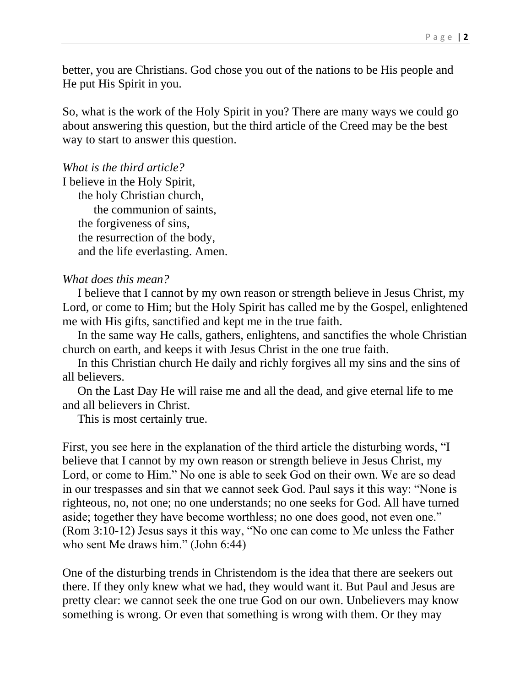better, you are Christians. God chose you out of the nations to be His people and He put His Spirit in you.

So, what is the work of the Holy Spirit in you? There are many ways we could go about answering this question, but the third article of the Creed may be the best way to start to answer this question.

*What is the third article?*

I believe in the Holy Spirit, the holy Christian church, the communion of saints, the forgiveness of sins, the resurrection of the body, and the life everlasting. Amen.

## *What does this mean?*

 I believe that I cannot by my own reason or strength believe in Jesus Christ, my Lord, or come to Him; but the Holy Spirit has called me by the Gospel, enlightened me with His gifts, sanctified and kept me in the true faith.

 In the same way He calls, gathers, enlightens, and sanctifies the whole Christian church on earth, and keeps it with Jesus Christ in the one true faith.

 In this Christian church He daily and richly forgives all my sins and the sins of all believers.

 On the Last Day He will raise me and all the dead, and give eternal life to me and all believers in Christ.

This is most certainly true.

First, you see here in the explanation of the third article the disturbing words, "I believe that I cannot by my own reason or strength believe in Jesus Christ, my Lord, or come to Him." No one is able to seek God on their own. We are so dead in our trespasses and sin that we cannot seek God. Paul says it this way: "None is righteous, no, not one; no one understands; no one seeks for God. All have turned aside; together they have become worthless; no one does good, not even one." (Rom 3:10-12) Jesus says it this way, "No one can come to Me unless the Father who sent Me draws him." (John 6:44)

One of the disturbing trends in Christendom is the idea that there are seekers out there. If they only knew what we had, they would want it. But Paul and Jesus are pretty clear: we cannot seek the one true God on our own. Unbelievers may know something is wrong. Or even that something is wrong with them. Or they may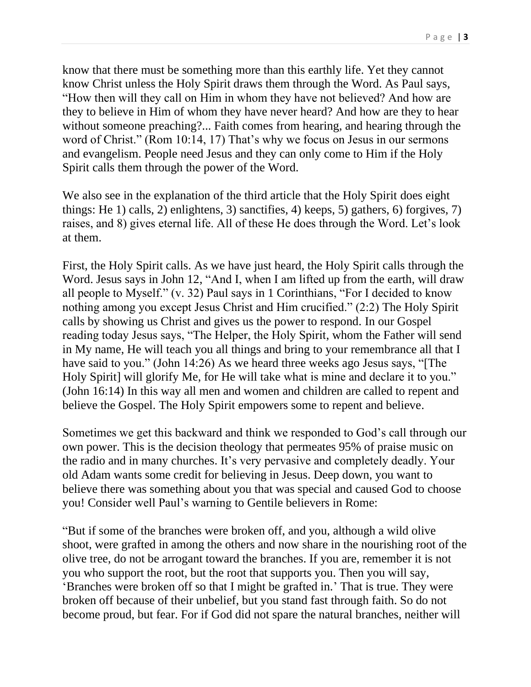know that there must be something more than this earthly life. Yet they cannot know Christ unless the Holy Spirit draws them through the Word. As Paul says, "How then will they call on Him in whom they have not believed? And how are they to believe in Him of whom they have never heard? And how are they to hear without someone preaching?... Faith comes from hearing, and hearing through the word of Christ." (Rom 10:14, 17) That's why we focus on Jesus in our sermons and evangelism. People need Jesus and they can only come to Him if the Holy Spirit calls them through the power of the Word.

We also see in the explanation of the third article that the Holy Spirit does eight things: He 1) calls, 2) enlightens, 3) sanctifies, 4) keeps, 5) gathers, 6) forgives, 7) raises, and 8) gives eternal life. All of these He does through the Word. Let's look at them.

First, the Holy Spirit calls. As we have just heard, the Holy Spirit calls through the Word. Jesus says in John 12, "And I, when I am lifted up from the earth, will draw all people to Myself." (v. 32) Paul says in 1 Corinthians, "For I decided to know nothing among you except Jesus Christ and Him crucified." (2:2) The Holy Spirit calls by showing us Christ and gives us the power to respond. In our Gospel reading today Jesus says, "The Helper, the Holy Spirit, whom the Father will send in My name, He will teach you all things and bring to your remembrance all that I have said to you." (John 14:26) As we heard three weeks ago Jesus says, "[The Holy Spirit] will glorify Me, for He will take what is mine and declare it to you." (John 16:14) In this way all men and women and children are called to repent and believe the Gospel. The Holy Spirit empowers some to repent and believe.

Sometimes we get this backward and think we responded to God's call through our own power. This is the decision theology that permeates 95% of praise music on the radio and in many churches. It's very pervasive and completely deadly. Your old Adam wants some credit for believing in Jesus. Deep down, you want to believe there was something about you that was special and caused God to choose you! Consider well Paul's warning to Gentile believers in Rome:

"But if some of the branches were broken off, and you, although a wild olive shoot, were grafted in among the others and now share in the nourishing root of the olive tree, do not be arrogant toward the branches. If you are, remember it is not you who support the root, but the root that supports you. Then you will say, 'Branches were broken off so that I might be grafted in.' That is true. They were broken off because of their unbelief, but you stand fast through faith. So do not become proud, but fear. For if God did not spare the natural branches, neither will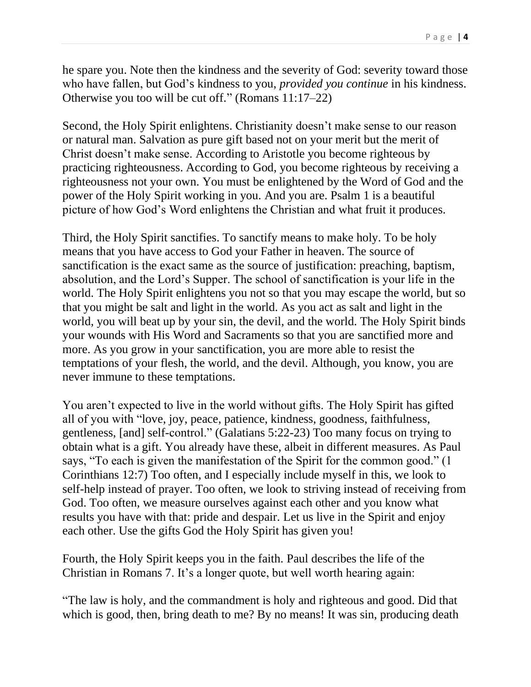he spare you. Note then the kindness and the severity of God: severity toward those who have fallen, but God's kindness to you, *provided you continue* in his kindness. Otherwise you too will be cut off." (Romans 11:17–22)

Second, the Holy Spirit enlightens. Christianity doesn't make sense to our reason or natural man. Salvation as pure gift based not on your merit but the merit of Christ doesn't make sense. According to Aristotle you become righteous by practicing righteousness. According to God, you become righteous by receiving a righteousness not your own. You must be enlightened by the Word of God and the power of the Holy Spirit working in you. And you are. Psalm 1 is a beautiful picture of how God's Word enlightens the Christian and what fruit it produces.

Third, the Holy Spirit sanctifies. To sanctify means to make holy. To be holy means that you have access to God your Father in heaven. The source of sanctification is the exact same as the source of justification: preaching, baptism, absolution, and the Lord's Supper. The school of sanctification is your life in the world. The Holy Spirit enlightens you not so that you may escape the world, but so that you might be salt and light in the world. As you act as salt and light in the world, you will beat up by your sin, the devil, and the world. The Holy Spirit binds your wounds with His Word and Sacraments so that you are sanctified more and more. As you grow in your sanctification, you are more able to resist the temptations of your flesh, the world, and the devil. Although, you know, you are never immune to these temptations.

You aren't expected to live in the world without gifts. The Holy Spirit has gifted all of you with "love, joy, peace, patience, kindness, goodness, faithfulness, gentleness, [and] self-control." (Galatians 5:22-23) Too many focus on trying to obtain what is a gift. You already have these, albeit in different measures. As Paul says, "To each is given the manifestation of the Spirit for the common good." (1 Corinthians 12:7) Too often, and I especially include myself in this, we look to self-help instead of prayer. Too often, we look to striving instead of receiving from God. Too often, we measure ourselves against each other and you know what results you have with that: pride and despair. Let us live in the Spirit and enjoy each other. Use the gifts God the Holy Spirit has given you!

Fourth, the Holy Spirit keeps you in the faith. Paul describes the life of the Christian in Romans 7. It's a longer quote, but well worth hearing again:

"The law is holy, and the commandment is holy and righteous and good. Did that which is good, then, bring death to me? By no means! It was sin, producing death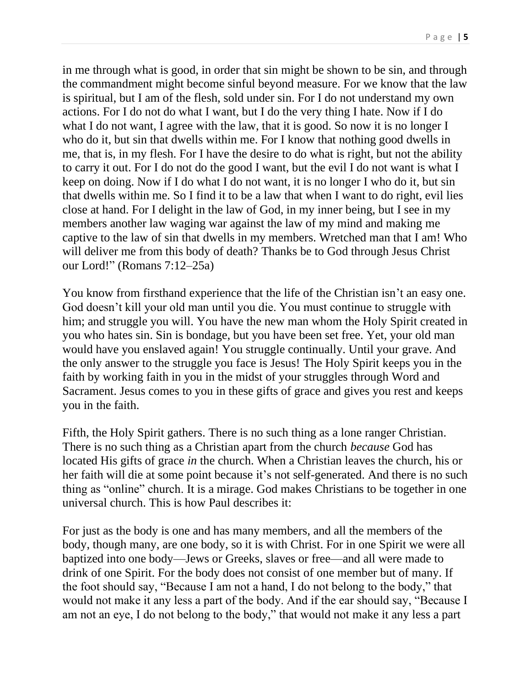in me through what is good, in order that sin might be shown to be sin, and through the commandment might become sinful beyond measure. For we know that the law is spiritual, but I am of the flesh, sold under sin. For I do not understand my own actions. For I do not do what I want, but I do the very thing I hate. Now if I do what I do not want, I agree with the law, that it is good. So now it is no longer I who do it, but sin that dwells within me. For I know that nothing good dwells in me, that is, in my flesh. For I have the desire to do what is right, but not the ability to carry it out. For I do not do the good I want, but the evil I do not want is what I keep on doing. Now if I do what I do not want, it is no longer I who do it, but sin that dwells within me. So I find it to be a law that when I want to do right, evil lies close at hand. For I delight in the law of God, in my inner being, but I see in my members another law waging war against the law of my mind and making me captive to the law of sin that dwells in my members. Wretched man that I am! Who will deliver me from this body of death? Thanks be to God through Jesus Christ our Lord!" (Romans 7:12–25a)

You know from firsthand experience that the life of the Christian isn't an easy one. God doesn't kill your old man until you die. You must continue to struggle with him; and struggle you will. You have the new man whom the Holy Spirit created in you who hates sin. Sin is bondage, but you have been set free. Yet, your old man would have you enslaved again! You struggle continually. Until your grave. And the only answer to the struggle you face is Jesus! The Holy Spirit keeps you in the faith by working faith in you in the midst of your struggles through Word and Sacrament. Jesus comes to you in these gifts of grace and gives you rest and keeps you in the faith.

Fifth, the Holy Spirit gathers. There is no such thing as a lone ranger Christian. There is no such thing as a Christian apart from the church *because* God has located His gifts of grace *in* the church. When a Christian leaves the church, his or her faith will die at some point because it's not self-generated. And there is no such thing as "online" church. It is a mirage. God makes Christians to be together in one universal church. This is how Paul describes it:

For just as the body is one and has many members, and all the members of the body, though many, are one body, so it is with Christ. For in one Spirit we were all baptized into one body—Jews or Greeks, slaves or free—and all were made to drink of one Spirit. For the body does not consist of one member but of many. If the foot should say, "Because I am not a hand, I do not belong to the body," that would not make it any less a part of the body. And if the ear should say, "Because I am not an eye, I do not belong to the body," that would not make it any less a part